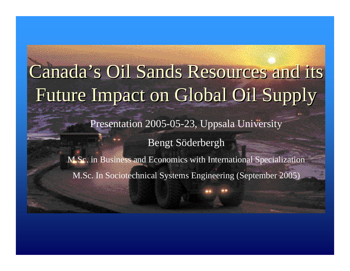# Canada's Oil Sands Resources and its Future Impact on Global Oil Supply Future Impact on Global Oil Supply

Presentation 2005-05-23, Uppsala University

Bengt Söderbergh

M.Sc. in Business and Economics with International Specialization M.Sc. In Sociotechnical Systems Engineering (September 2005)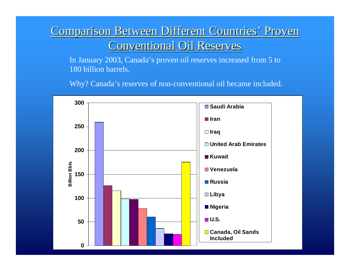### Comparison Between Different Countries' Proven **Conventional Oil Reserves**

In January 2003, Canada's proven oil reserves increased from 5 to 180 billion barrels.

Why? Canada's reserves of non-conventional oil became included.

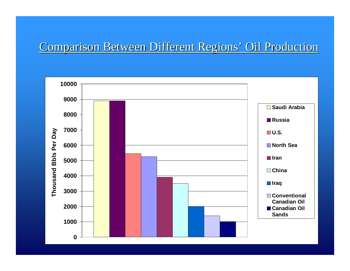### Comparison Between Different Regions' Oil Production

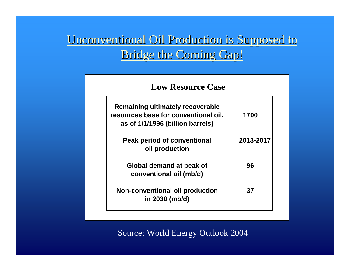### Unconventional Oil Production is Supposed to Bridge the Coming Gap!

#### **Low Resource Case**

| Remaining ultimately recoverable<br>resources base for conventional oil,<br>as of 1/1/1996 (billion barrels) | 1700      |
|--------------------------------------------------------------------------------------------------------------|-----------|
| Peak period of conventional<br>oil production                                                                | 2013-2017 |
| Global demand at peak of<br>conventional oil (mb/d)                                                          | 96        |
| Non-conventional oil production<br>in 2030 (mb/d)                                                            | 37        |

Source: World Energy Outlook 2004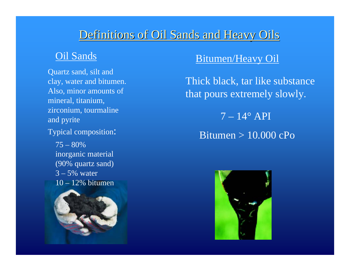### Definitions of Oil Sands and Heavy Oils

#### Oil Sands

Quartz sand, silt and clay, water and bitumen. Also, minor amounts of mineral, titanium, zirconium, tourmaline and pyrite

Typical composition:

75 – 80% inorganic material (90% quartz sand)  $3 - 5\%$  water 10 – 12% bitumen



#### Bitumen/Heavy Oil

Thick black, tar like substance that pours extremely slowly.

 $7 - 14^{\circ}$  API

Bitumen > 10.000 cPo

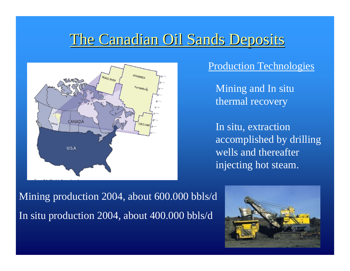# The Canadian Oil Sands Deposits



#### Production Technologies

Mining and In situ thermal recovery

In situ, extraction accomplished by drilling wells and thereafter injecting hot steam.

Mining production 2004, about 600.000 bbls/d In situ production 2004, about 400.000 bbls/d

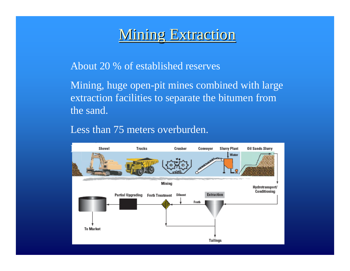# **Mining Extraction**

#### About 20 % of established reserves

Mining, huge open-pit mines combined with large extraction facilities to separate the bitumen from the sand.

#### Less than 75 meters overburden.

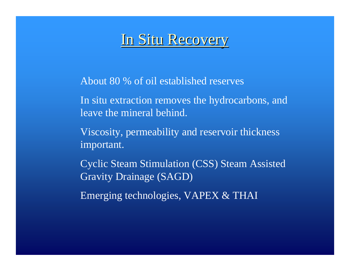### In Situ Recovery

About 80 % of oil established reserves

In situ extraction removes the hydrocarbons, and leave the mineral behind.

Viscosity, permeability and reservoir thickness important.

Cyclic Steam Stimulation (CSS) Steam Assisted Gravity Drainage (SAGD)

Emerging technologies, VAPEX & THAI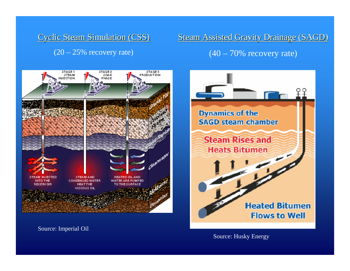#### Cyclic Steam Simulation (CSS)  $(20 - 25\%$  recovery rate)

Steam Assisted Gravity Drainage (SAGD)

 $(40 - 70\%$  recovery rate)



**Dynamics of the SAGD steam chamber Steam Rises and Heats Bitumen Heated Bitumen Flows to Well** 

Source: Imperial Oil

Source: Husky Energy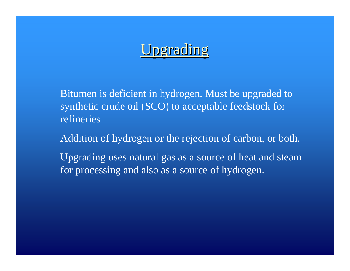# Jpgrading

Bitumen is deficient in hydrogen. Must be upgraded to synthetic crude oil (SCO) to acceptable feedstock for refineries

Addition of hydrogen or the rejection of carbon, or both.

Upgrading uses natural gas as a source of heat and steam for processing and also as a source of hydrogen.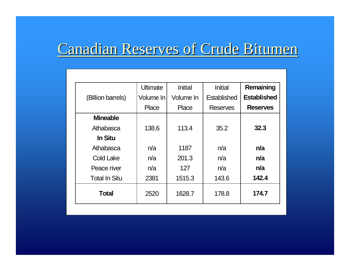# Canadian Reserves of Crude Bitumen

|                      | <b>Ultimate</b> | <b>Initial</b> | <b>Initial</b>  | Remaining          |
|----------------------|-----------------|----------------|-----------------|--------------------|
| (Billion barrels)    | Volume In       | Volume In      | Established     | <b>Established</b> |
|                      | Place           | Place          | <b>Reserves</b> | <b>Reserves</b>    |
| <b>Mineable</b>      |                 |                |                 |                    |
| Athabasca            | 138.6           | 113.4          | 35.2            | 32.3               |
| <b>In Situ</b>       |                 |                |                 |                    |
| Athabasca            | n/a             | 1187           | n/a             | n/a                |
| <b>Cold Lake</b>     | n/a             | 201.3          | n/a             | n/a                |
| Peace river          | n/a             | 127            | n/a             | n/a                |
| <b>Total In Situ</b> | 2381            | 1515.3         | 143.6           | 142.4              |
| <b>Total</b>         | 2520            | 1628.7         | 178.8           | 174.7              |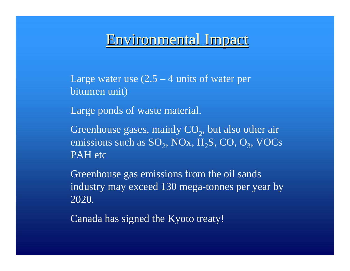### Environmental Impact

Large water use  $(2.5 - 4 \text{ units of water per})$ bitumen unit)

Large ponds of waste material.

Greenhouse gases, mainly  $CO_2$ , but also other air emissions such as  $SO_2$ , NOx,  $H_2S$ , CO,  $O_3$ , VOCs PAH etc

Greenhouse gas emissions from the oil sands industry may exceed 130 mega-tonnes per year by 2020.

Canada has signed the Kyoto treaty!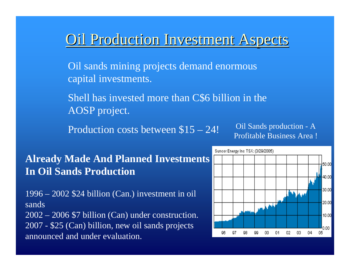### **Oil Production Investment Aspects**

Oil sands mining projects demand enormous capital investments.

Shell has invested more than C\$6 billion in the AOSP project.

Production costs between \$15 – 24!

Oil Sands production - A Profitable Business Area !

### **Already Made And Planned Investments In Oil Sands Production**

1996 – 2002 \$24 billion (Can.) investment in oil sands

2002 – 2006 \$7 billion (Can) under construction. 2007 - \$25 (Can) billion, new oil sands projects announced and under evaluation.

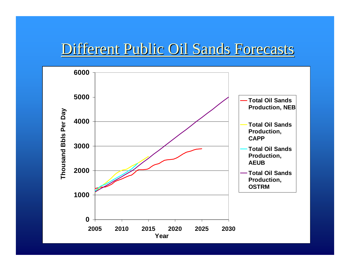### Different Public Oil Sands Forecasts

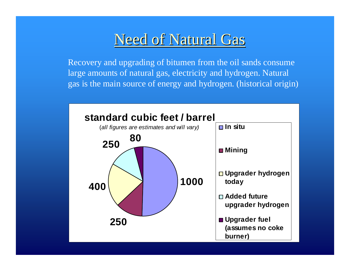# Need of Natural Gas

Recovery and upgrading of bitumen from the oil sands consume large amounts of natural gas, electricity and hydrogen. Natural gas is the main source of energy and hydrogen. (historical origin)

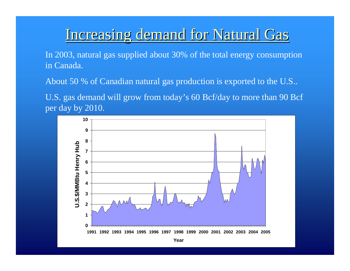### Increasing demand for Natural Gas

In 2003, natural gas supplied about 30% of the total energy consumption in Canada.

About 50 % of Canadian natural gas production is exported to the U.S..

U.S. gas demand will grow from today's 60 Bcf/day to more than 90 Bcf per day by 2010.

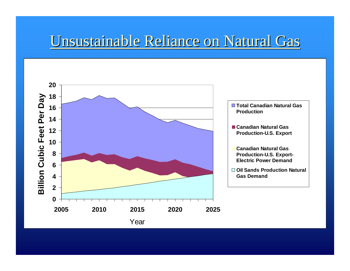# Unsustainable Reliance on Natural Gas

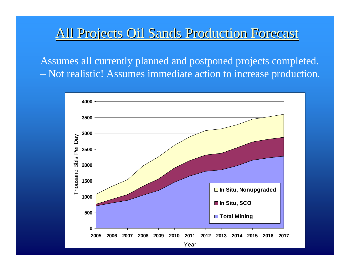### All Projects Oil Sands Production Forecast

Assumes all currently planned and postponed projects completed. Not realistic! Assumes immediate action to increase production.

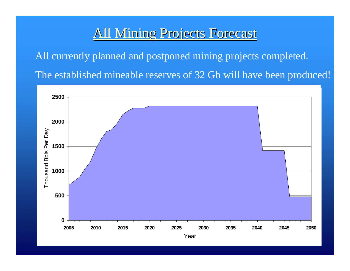### All Mining Projects Forecast

All currently planned and postponed mining projects completed. The established mineable reserves of 32 Gb will have been produced!

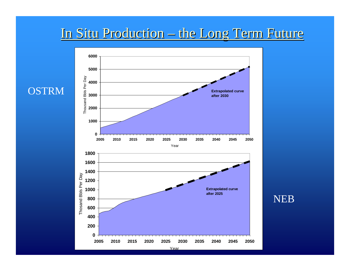### In Situ Production – the Long Term Future

NEB

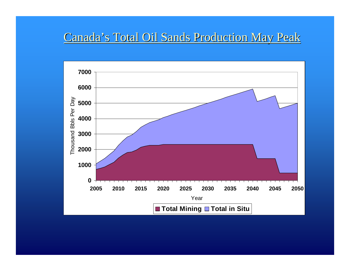### Canada's Total Oil Sands Production May Peak

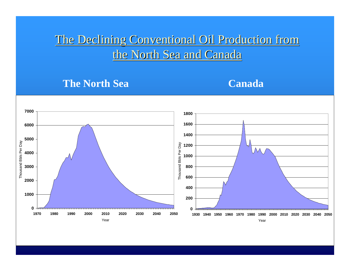### The Declining Conventional Oil Production from the North Sea and Canada

#### **The North Sea**

#### **Canada**

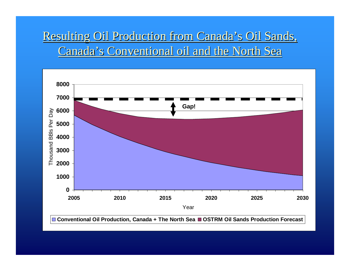### Resulting Oil Production from Canada's Oil Sands, Canada's Conventional oil and the North Sea

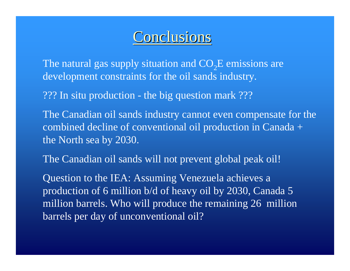## **Conclusions**

The natural gas supply situation and  $CO<sub>2</sub>E$  emissions are development constraints for the oil sands industry.

??? In situ production - the big question mark ???

The Canadian oil sands industry cannot even compensate for the combined decline of conventional oil production in Canada + the North sea by 2030.

The Canadian oil sands will not prevent global peak oil!

Question to the IEA: Assuming Venezuela achieves a production of 6 million b/d of heavy oil by 2030, Canada 5 million barrels. Who will produce the remaining 26 million barrels per day of unconventional oil?